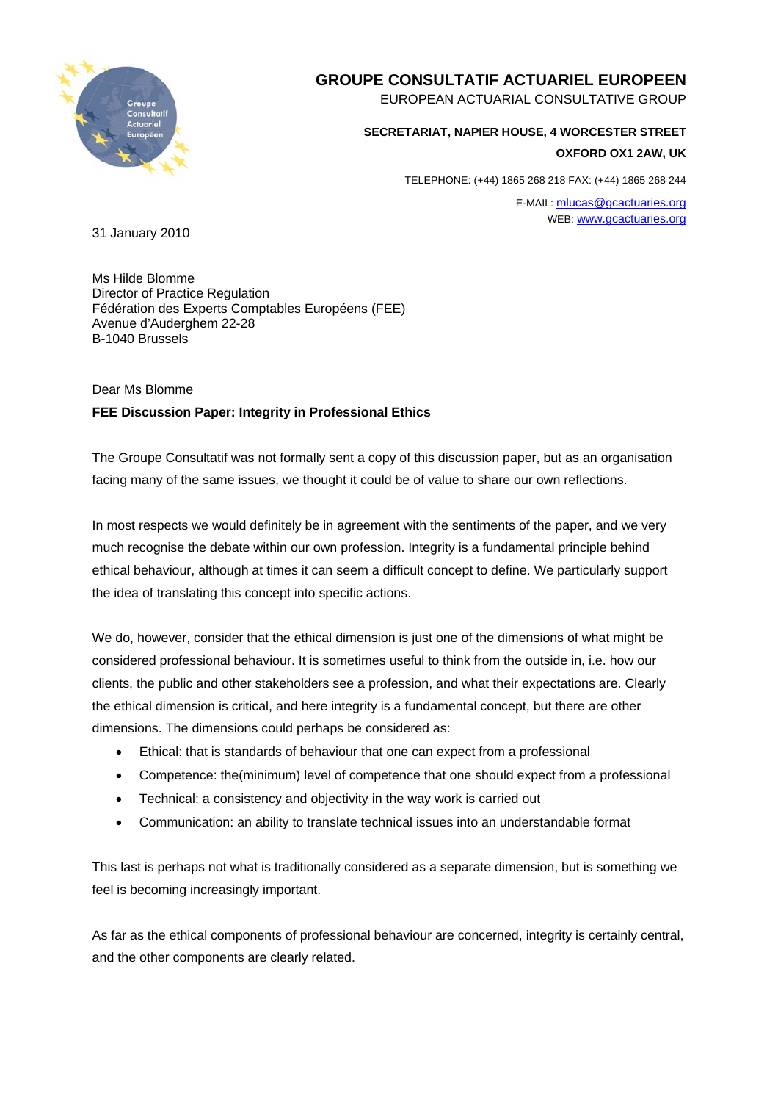

## **GROUPE CONSULTATIF ACTUARIEL EUROPEEN**

EUROPEAN ACTUARIAL CONSULTATIVE GROUP

## **SECRETARIAT, NAPIER HOUSE, 4 WORCESTER STREET**

**OXFORD OX1 2AW, UK**

TELEPHONE: (+44) 1865 268 218 FAX: (+44) 1865 268 244

E-MAIL: mlucas@gcactuaries.org WEB: www.gcactuaries.org

31 January 2010

Ms Hilde Blomme Director of Practice Regulation Fédération des Experts Comptables Européens (FEE) Avenue d'Auderghem 22-28 B-1040 Brussels

## Dear Ms Blomme

## **FEE Discussion Paper: Integrity in Professional Ethics**

The Groupe Consultatif was not formally sent a copy of this discussion paper, but as an organisation facing many of the same issues, we thought it could be of value to share our own reflections.

In most respects we would definitely be in agreement with the sentiments of the paper, and we very much recognise the debate within our own profession. Integrity is a fundamental principle behind ethical behaviour, although at times it can seem a difficult concept to define. We particularly support the idea of translating this concept into specific actions.

We do, however, consider that the ethical dimension is just one of the dimensions of what might be considered professional behaviour. It is sometimes useful to think from the outside in, i.e. how our clients, the public and other stakeholders see a profession, and what their expectations are. Clearly the ethical dimension is critical, and here integrity is a fundamental concept, but there are other dimensions. The dimensions could perhaps be considered as:

- Ethical: that is standards of behaviour that one can expect from a professional
- Competence: the(minimum) level of competence that one should expect from a professional
- Technical: a consistency and objectivity in the way work is carried out
- Communication: an ability to translate technical issues into an understandable format

This last is perhaps not what is traditionally considered as a separate dimension, but is something we feel is becoming increasingly important.

As far as the ethical components of professional behaviour are concerned, integrity is certainly central, and the other components are clearly related.